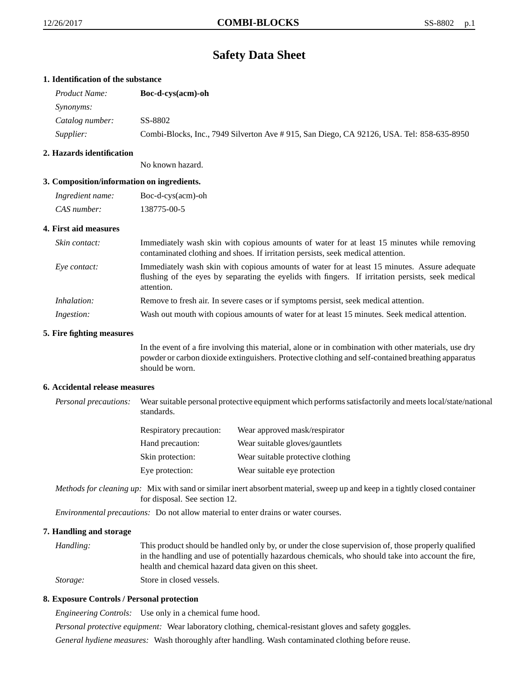# **Safety Data Sheet**

# **1. Identification of the substance**

| <i>Product Name:</i> | Boc-d-cys(acm)-oh                                                                         |
|----------------------|-------------------------------------------------------------------------------------------|
| <i>Synonyms:</i>     |                                                                                           |
| Catalog number:      | SS-8802                                                                                   |
| <i>Supplier:</i>     | Combi-Blocks, Inc., 7949 Silverton Ave # 915, San Diego, CA 92126, USA. Tel: 858-635-8950 |

# **2. Hazards identification**

No known hazard.

# **3. Composition/information on ingredients.**

| Ingredient name: | Boc-d-cys(acm)-oh |
|------------------|-------------------|
| CAS number:      | 138775-00-5       |

# **4. First aid measures**

| Skin contact:     | Immediately wash skin with copious amounts of water for at least 15 minutes while removing<br>contaminated clothing and shoes. If irritation persists, seek medical attention.                                  |
|-------------------|-----------------------------------------------------------------------------------------------------------------------------------------------------------------------------------------------------------------|
| Eve contact:      | Immediately wash skin with copious amounts of water for at least 15 minutes. Assure adequate<br>flushing of the eyes by separating the eyelids with fingers. If irritation persists, seek medical<br>attention. |
| Inhalation:       | Remove to fresh air. In severe cases or if symptoms persist, seek medical attention.                                                                                                                            |
| <i>Ingestion:</i> | Wash out mouth with copious amounts of water for at least 15 minutes. Seek medical attention.                                                                                                                   |

#### **5. Fire fighting measures**

In the event of a fire involving this material, alone or in combination with other materials, use dry powder or carbon dioxide extinguishers. Protective clothing and self-contained breathing apparatus should be worn.

# **6. Accidental release measures**

*Personal precautions:* Wear suitable personal protective equipment which performs satisfactorily and meets local/state/national standards.

| <b>Respiratory precaution:</b> | Wear approved mask/respirator     |
|--------------------------------|-----------------------------------|
| Hand precaution:               | Wear suitable gloves/gauntlets    |
| Skin protection:               | Wear suitable protective clothing |
| Eye protection:                | Wear suitable eye protection      |

*Methods for cleaning up:* Mix with sand or similar inert absorbent material, sweep up and keep in a tightly closed container for disposal. See section 12.

*Environmental precautions:* Do not allow material to enter drains or water courses.

# **7. Handling and storage**

*Handling:* This product should be handled only by, or under the close supervision of, those properly qualified in the handling and use of potentially hazardous chemicals, who should take into account the fire, health and chemical hazard data given on this sheet. *Storage:* Store in closed vessels.

# **8. Exposure Controls / Personal protection**

*Engineering Controls:* Use only in a chemical fume hood.

*Personal protective equipment:* Wear laboratory clothing, chemical-resistant gloves and safety goggles.

*General hydiene measures:* Wash thoroughly after handling. Wash contaminated clothing before reuse.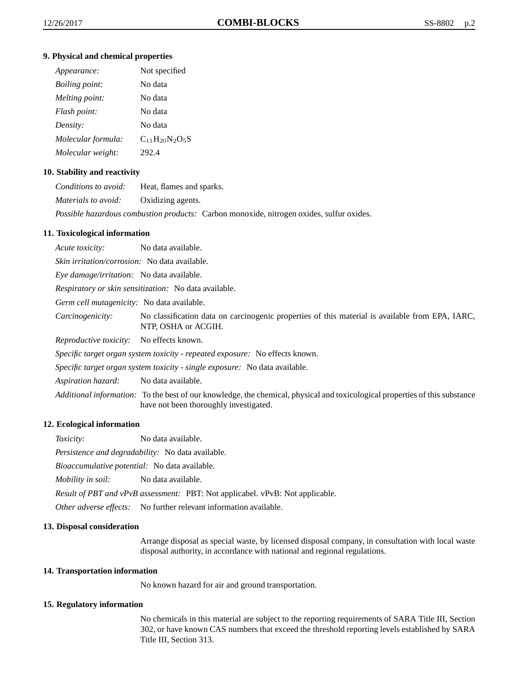# **9. Physical and chemical properties**

| Appearance:           | Not specified         |
|-----------------------|-----------------------|
| <i>Boiling point:</i> | No data               |
| Melting point:        | No data               |
| Flash point:          | No data               |
| Density:              | No data               |
| Molecular formula:    | $C_{11}H_{20}N_2O_5S$ |
| Molecular weight:     | 292.4                 |

# **10. Stability and reactivity**

| Conditions to avoid:       | Heat, flames and sparks.                                                                        |
|----------------------------|-------------------------------------------------------------------------------------------------|
| <i>Materials to avoid:</i> | Oxidizing agents.                                                                               |
|                            | <i>Possible hazardous combustion products:</i> Carbon monoxide, nitrogen oxides, sulfur oxides. |

# **11. Toxicological information**

| Acute toxicity:                                                              | No data available.                                                                                                                                                           |  |
|------------------------------------------------------------------------------|------------------------------------------------------------------------------------------------------------------------------------------------------------------------------|--|
| <i>Skin irritation/corrosion:</i> No data available.                         |                                                                                                                                                                              |  |
| <i>Eye damage/irritation:</i> No data available.                             |                                                                                                                                                                              |  |
| <i>Respiratory or skin sensitization:</i> No data available.                 |                                                                                                                                                                              |  |
| Germ cell mutagenicity: No data available.                                   |                                                                                                                                                                              |  |
| Carcinogenicity:                                                             | No classification data on carcinogenic properties of this material is available from EPA, IARC,<br>NTP, OSHA or ACGIH.                                                       |  |
| <i>Reproductive toxicity:</i>                                                | No effects known.                                                                                                                                                            |  |
| Specific target organ system toxicity - repeated exposure: No effects known. |                                                                                                                                                                              |  |
| Specific target organ system toxicity - single exposure: No data available.  |                                                                                                                                                                              |  |
| Aspiration hazard:                                                           | No data available.                                                                                                                                                           |  |
|                                                                              | <i>Additional information:</i> To the best of our knowledge, the chemical, physical and toxicological properties of this substance<br>have not been thoroughly investigated. |  |

# **12. Ecological information**

*Toxicity:* No data available.

*Persistence and degradability:* No data available.

*Bioaccumulative potential:* No data available.

*Mobility in soil:* No data available.

*Result of PBT and vPvB assessment:* PBT: Not applicabel. vPvB: Not applicable.

*Other adverse effects:* No further relevant information available.

# **13. Disposal consideration**

Arrange disposal as special waste, by licensed disposal company, in consultation with local waste disposal authority, in accordance with national and regional regulations.

# **14. Transportation information**

No known hazard for air and ground transportation.

#### **15. Regulatory information**

No chemicals in this material are subject to the reporting requirements of SARA Title III, Section 302, or have known CAS numbers that exceed the threshold reporting levels established by SARA Title III, Section 313.